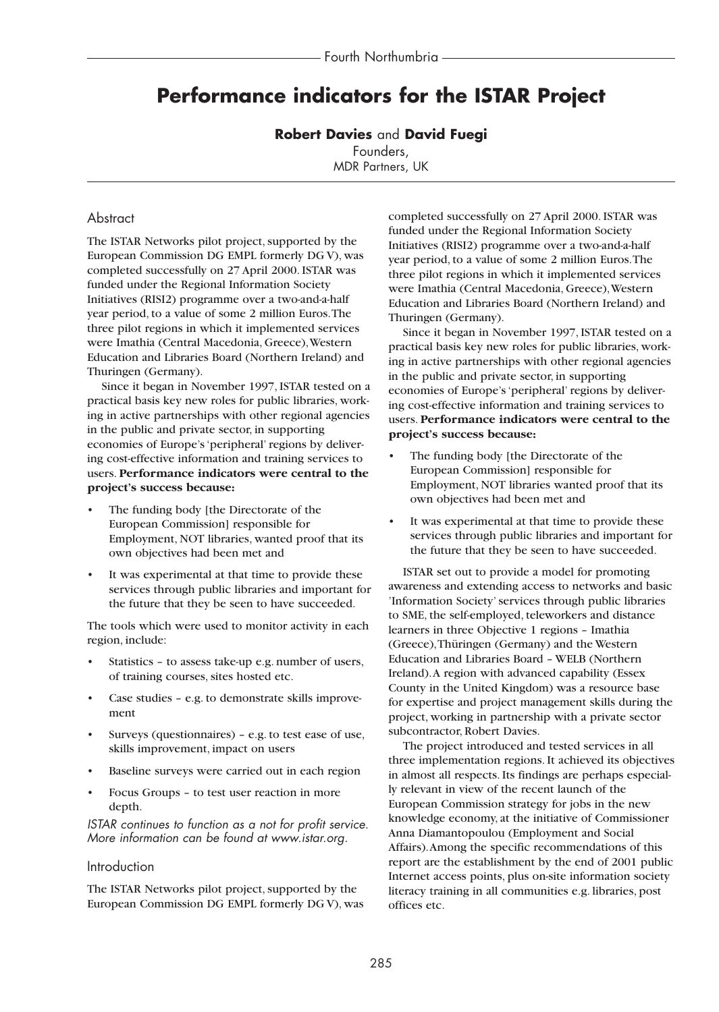# **Performance indicators for the ISTAR Project**

### **Robert Davies** and **David Fuegi**

Founders, MDR Partners, UK

#### Abstract

The ISTAR Networks pilot project, supported by the European Commission DG EMPL formerly DG V), was completed successfully on 27 April 2000. ISTAR was funded under the Regional Information Society Initiatives (RISI2) programme over a two-and-a-half year period, to a value of some 2 million Euros.The three pilot regions in which it implemented services were Imathia (Central Macedonia, Greece),Western Education and Libraries Board (Northern Ireland) and Thuringen (Germany).

Since it began in November 1997, ISTAR tested on a practical basis key new roles for public libraries, working in active partnerships with other regional agencies in the public and private sector, in supporting economies of Europe's 'peripheral' regions by delivering cost-effective information and training services to users. **Performance indicators were central to the project's success because:**

- The funding body [the Directorate of the European Commission] responsible for Employment, NOT libraries, wanted proof that its own objectives had been met and
- It was experimental at that time to provide these services through public libraries and important for the future that they be seen to have succeeded.

The tools which were used to monitor activity in each region, include:

- Statistics to assess take-up e.g. number of users, of training courses, sites hosted etc.
- Case studies e.g. to demonstrate skills improvement
- Surveys (questionnaires) e.g. to test ease of use, skills improvement, impact on users
- Baseline surveys were carried out in each region
- Focus Groups to test user reaction in more depth.

*ISTAR continues to function as a not for profit service. More information can be found at www.istar.org.*

#### Introduction

The ISTAR Networks pilot project, supported by the European Commission DG EMPL formerly DG V), was completed successfully on 27 April 2000. ISTAR was funded under the Regional Information Society Initiatives (RISI2) programme over a two-and-a-half year period, to a value of some 2 million Euros.The three pilot regions in which it implemented services were Imathia (Central Macedonia, Greece),Western Education and Libraries Board (Northern Ireland) and Thuringen (Germany).

Since it began in November 1997, ISTAR tested on a practical basis key new roles for public libraries, working in active partnerships with other regional agencies in the public and private sector, in supporting economies of Europe's 'peripheral' regions by delivering cost-effective information and training services to users. **Performance indicators were central to the project's success because:**

- The funding body [the Directorate of the European Commission] responsible for Employment, NOT libraries wanted proof that its own objectives had been met and
- It was experimental at that time to provide these services through public libraries and important for the future that they be seen to have succeeded.

ISTAR set out to provide a model for promoting awareness and extending access to networks and basic 'Information Society' services through public libraries to SME, the self-employed, teleworkers and distance learners in three Objective 1 regions – Imathia (Greece),Thüringen (Germany) and the Western Education and Libraries Board – WELB (Northern Ireland).A region with advanced capability (Essex County in the United Kingdom) was a resource base for expertise and project management skills during the project, working in partnership with a private sector subcontractor, Robert Davies.

The project introduced and tested services in all three implementation regions. It achieved its objectives in almost all respects. Its findings are perhaps especially relevant in view of the recent launch of the European Commission strategy for jobs in the new knowledge economy, at the initiative of Commissioner Anna Diamantopoulou (Employment and Social Affairs).Among the specific recommendations of this report are the establishment by the end of 2001 public Internet access points, plus on-site information society literacy training in all communities e.g. libraries, post offices etc.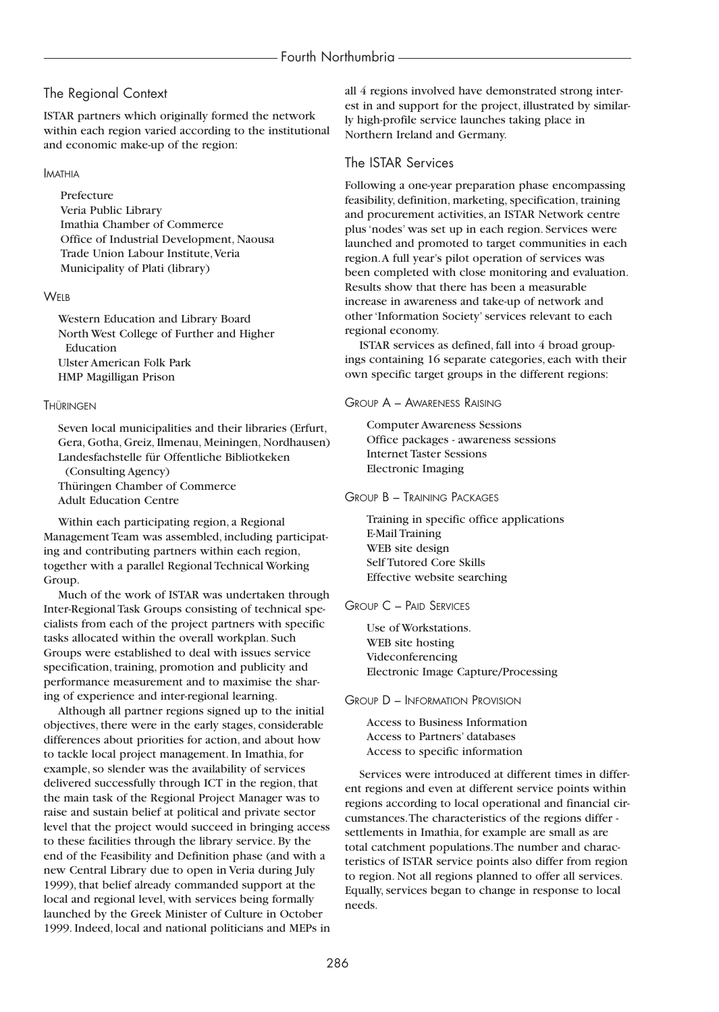### The Regional Context

ISTAR partners which originally formed the network within each region varied according to the institutional and economic make-up of the region:

**IMATHIA** 

Prefecture Veria Public Library Imathia Chamber of Commerce Office of Industrial Development, Naousa Trade Union Labour Institute,Veria Municipality of Plati (library)

#### **WELB**

Western Education and Library Board North West College of Further and Higher Education Ulster American Folk Park HMP Magilligan Prison

#### **THÜRINGEN**

Seven local municipalities and their libraries (Erfurt, Gera, Gotha, Greiz, Ilmenau, Meiningen, Nordhausen) Landesfachstelle für Offentliche Bibliotkeken (Consulting Agency) Thüringen Chamber of Commerce Adult Education Centre

Within each participating region, a Regional Management Team was assembled, including participating and contributing partners within each region, together with a parallel Regional Technical Working Group.

Much of the work of ISTAR was undertaken through Inter-Regional Task Groups consisting of technical specialists from each of the project partners with specific tasks allocated within the overall workplan. Such Groups were established to deal with issues service specification, training, promotion and publicity and performance measurement and to maximise the sharing of experience and inter-regional learning.

Although all partner regions signed up to the initial objectives, there were in the early stages, considerable differences about priorities for action, and about how to tackle local project management. In Imathia, for example, so slender was the availability of services delivered successfully through ICT in the region, that the main task of the Regional Project Manager was to raise and sustain belief at political and private sector level that the project would succeed in bringing access to these facilities through the library service. By the end of the Feasibility and Definition phase (and with a new Central Library due to open in Veria during July 1999), that belief already commanded support at the local and regional level, with services being formally launched by the Greek Minister of Culture in October 1999. Indeed, local and national politicians and MEPs in all 4 regions involved have demonstrated strong interest in and support for the project, illustrated by similarly high-profile service launches taking place in Northern Ireland and Germany.

### The ISTAR Services

Following a one-year preparation phase encompassing feasibility, definition, marketing, specification, training and procurement activities, an ISTAR Network centre plus 'nodes' was set up in each region. Services were launched and promoted to target communities in each region.A full year's pilot operation of services was been completed with close monitoring and evaluation. Results show that there has been a measurable increase in awareness and take-up of network and other 'Information Society' services relevant to each regional economy.

ISTAR services as defined, fall into 4 broad groupings containing 16 separate categories, each with their own specific target groups in the different regions:

### GROUP A – AWARENESS RAISING

Computer Awareness Sessions Office packages - awareness sessions Internet Taster Sessions Electronic Imaging

### GROUP B – TRAINING PACKAGES

Training in specific office applications E-Mail Training WEB site design Self Tutored Core Skills Effective website searching

### GROUP C – PAID SERVICES

Use of Workstations. WEB site hosting Videconferencing Electronic Image Capture/Processing

GROUP D – INFORMATION PROVISION

Access to Business Information Access to Partners' databases Access to specific information

Services were introduced at different times in different regions and even at different service points within regions according to local operational and financial circumstances.The characteristics of the regions differ settlements in Imathia, for example are small as are total catchment populations.The number and characteristics of ISTAR service points also differ from region to region. Not all regions planned to offer all services. Equally, services began to change in response to local needs.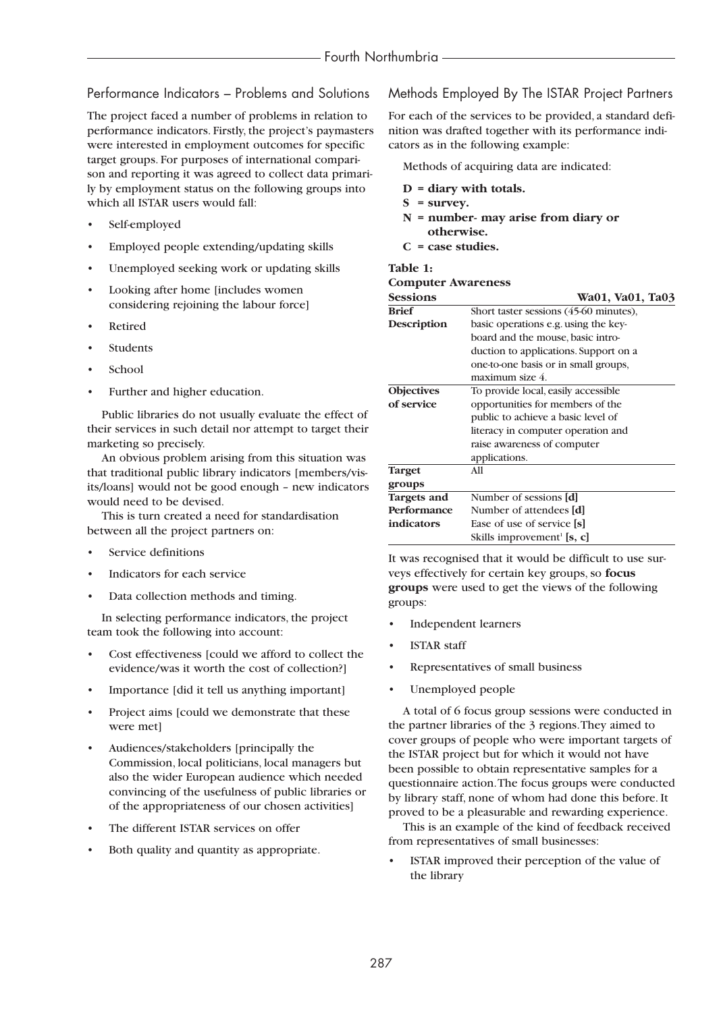### Performance Indicators – Problems and Solutions

The project faced a number of problems in relation to performance indicators. Firstly, the project's paymasters were interested in employment outcomes for specific target groups. For purposes of international comparison and reporting it was agreed to collect data primarily by employment status on the following groups into which all ISTAR users would fall:

- Self-employed
- Employed people extending/updating skills
- Unemployed seeking work or updating skills
- Looking after home [includes women] considering rejoining the labour force]
- Retired
- **Students**
- School
- Further and higher education.

Public libraries do not usually evaluate the effect of their services in such detail nor attempt to target their marketing so precisely.

An obvious problem arising from this situation was that traditional public library indicators [members/visits/loans] would not be good enough – new indicators would need to be devised.

This is turn created a need for standardisation between all the project partners on:

- Service definitions
- Indicators for each service
- Data collection methods and timing.

In selecting performance indicators, the project team took the following into account:

- Cost effectiveness [could we afford to collect the evidence/was it worth the cost of collection?]
- Importance [did it tell us anything important]
- Project aims [could we demonstrate that these were met]
- Audiences/stakeholders [principally the Commission, local politicians, local managers but also the wider European audience which needed convincing of the usefulness of public libraries or of the appropriateness of our chosen activities]
- The different ISTAR services on offer
- Both quality and quantity as appropriate.

### Methods Employed By The ISTAR Project Partners

For each of the services to be provided, a standard definition was drafted together with its performance indicators as in the following example:

Methods of acquiring data are indicated:

- **D = diary with totals.**
- **S = survey.**
- **N = number- may arise from diary or otherwise.**
- **C = case studies.**

**Table 1:**

#### **Computer Awareness**

| Sessions          | Wa01, Va01, Ta03                       |
|-------------------|----------------------------------------|
| <b>Brief</b>      | Short taster sessions (45-60 minutes), |
| Description       | basic operations e.g. using the key-   |
|                   | board and the mouse, basic intro-      |
|                   | duction to applications. Support on a  |
|                   | one-to-one basis or in small groups,   |
|                   | maximum size 4.                        |
| <b>Objectives</b> | To provide local, easily accessible    |
| of service        | opportunities for members of the       |
|                   | public to achieve a basic level of     |
|                   | literacy in computer operation and     |
|                   | raise awareness of computer            |
|                   | applications.                          |
| <b>Target</b>     | All                                    |
| groups            |                                        |
| Targets and       | Number of sessions [ <b>d</b> ]        |
| Performance       | Number of attendees [ <b>d</b> ]       |
| indicators        | Ease of use of service [s]             |
|                   | Skills improvement <sup>1</sup> [s, c] |

It was recognised that it would be difficult to use surveys effectively for certain key groups, so **focus groups** were used to get the views of the following groups:

- Independent learners
- **ISTAR** staff
- Representatives of small business
- Unemployed people

A total of 6 focus group sessions were conducted in the partner libraries of the 3 regions.They aimed to cover groups of people who were important targets of the ISTAR project but for which it would not have been possible to obtain representative samples for a questionnaire action.The focus groups were conducted by library staff, none of whom had done this before. It proved to be a pleasurable and rewarding experience.

This is an example of the kind of feedback received from representatives of small businesses:

ISTAR improved their perception of the value of the library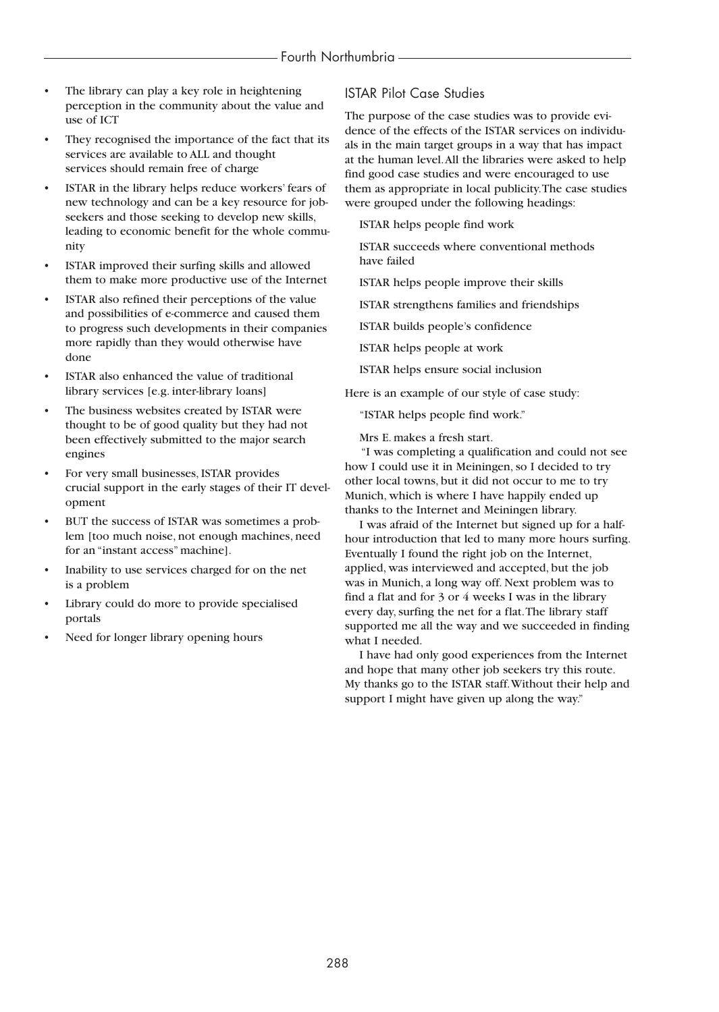- The library can play a key role in heightening perception in the community about the value and use of ICT
- They recognised the importance of the fact that its services are available to ALL and thought services should remain free of charge
- ISTAR in the library helps reduce workers' fears of new technology and can be a key resource for jobseekers and those seeking to develop new skills, leading to economic benefit for the whole community
- ISTAR improved their surfing skills and allowed them to make more productive use of the Internet
- ISTAR also refined their perceptions of the value and possibilities of e-commerce and caused them to progress such developments in their companies more rapidly than they would otherwise have done
- ISTAR also enhanced the value of traditional library services [e.g. inter-library loans]
- The business websites created by ISTAR were thought to be of good quality but they had not been effectively submitted to the major search engines
- For very small businesses, ISTAR provides crucial support in the early stages of their IT development
- BUT the success of ISTAR was sometimes a problem [too much noise, not enough machines, need for an "instant access" machine].
- Inability to use services charged for on the net is a problem
- Library could do more to provide specialised portals
- Need for longer library opening hours

### ISTAR Pilot Case Studies

The purpose of the case studies was to provide evidence of the effects of the ISTAR services on individuals in the main target groups in a way that has impact at the human level.All the libraries were asked to help find good case studies and were encouraged to use them as appropriate in local publicity.The case studies were grouped under the following headings:

ISTAR helps people find work

ISTAR succeeds where conventional methods have failed

ISTAR helps people improve their skills

ISTAR strengthens families and friendships

ISTAR builds people's confidence

ISTAR helps people at work

ISTAR helps ensure social inclusion

Here is an example of our style of case study:

"ISTAR helps people find work."

Mrs E. makes a fresh start.

"I was completing a qualification and could not see how I could use it in Meiningen, so I decided to try other local towns, but it did not occur to me to try Munich, which is where I have happily ended up thanks to the Internet and Meiningen library.

I was afraid of the Internet but signed up for a halfhour introduction that led to many more hours surfing. Eventually I found the right job on the Internet, applied, was interviewed and accepted, but the job was in Munich, a long way off. Next problem was to find a flat and for 3 or 4 weeks I was in the library every day, surfing the net for a flat.The library staff supported me all the way and we succeeded in finding what I needed.

I have had only good experiences from the Internet and hope that many other job seekers try this route. My thanks go to the ISTAR staff.Without their help and support I might have given up along the way."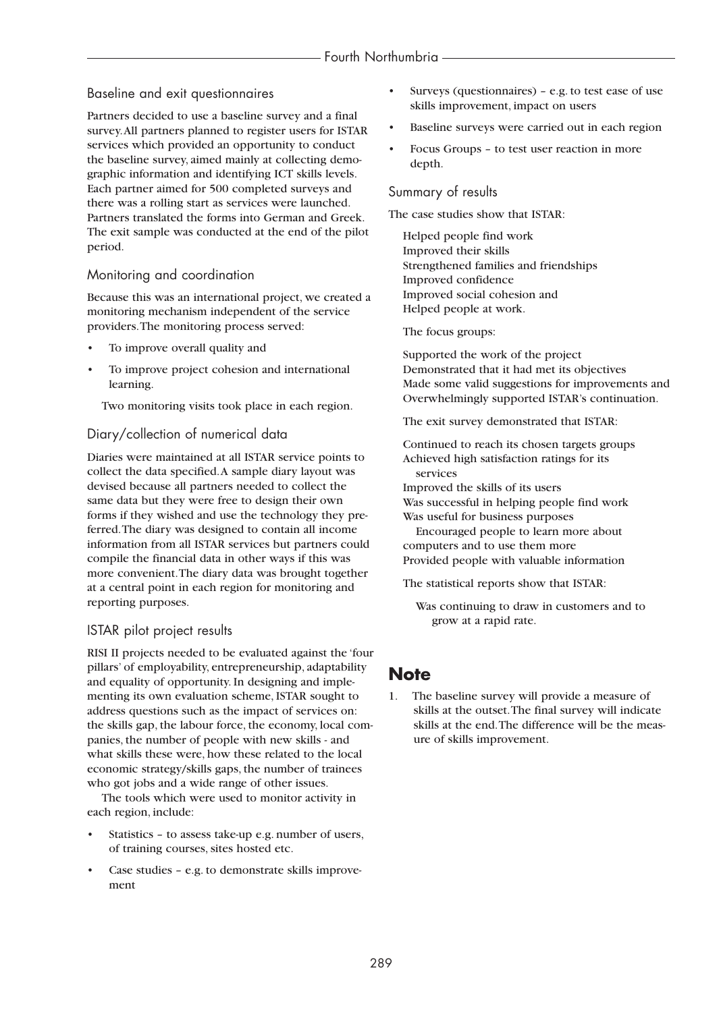### Baseline and exit questionnaires

Partners decided to use a baseline survey and a final survey.All partners planned to register users for ISTAR services which provided an opportunity to conduct the baseline survey, aimed mainly at collecting demographic information and identifying ICT skills levels. Each partner aimed for 500 completed surveys and there was a rolling start as services were launched. Partners translated the forms into German and Greek. The exit sample was conducted at the end of the pilot period.

### Monitoring and coordination

Because this was an international project, we created a monitoring mechanism independent of the service providers.The monitoring process served:

- To improve overall quality and
- To improve project cohesion and international learning.

Two monitoring visits took place in each region.

### Diary/collection of numerical data

Diaries were maintained at all ISTAR service points to collect the data specified.A sample diary layout was devised because all partners needed to collect the same data but they were free to design their own forms if they wished and use the technology they preferred.The diary was designed to contain all income information from all ISTAR services but partners could compile the financial data in other ways if this was more convenient.The diary data was brought together at a central point in each region for monitoring and reporting purposes.

### ISTAR pilot project results

RISI II projects needed to be evaluated against the 'four pillars' of employability, entrepreneurship, adaptability and equality of opportunity. In designing and implementing its own evaluation scheme, ISTAR sought to address questions such as the impact of services on: the skills gap, the labour force, the economy, local companies, the number of people with new skills - and what skills these were, how these related to the local economic strategy/skills gaps, the number of trainees who got jobs and a wide range of other issues.

The tools which were used to monitor activity in each region, include:

- Statistics to assess take-up e.g. number of users, of training courses, sites hosted etc.
- Case studies e.g. to demonstrate skills improvement
- Surveys (questionnaires) e.g. to test ease of use skills improvement, impact on users
- Baseline surveys were carried out in each region
- Focus Groups to test user reaction in more depth.

### Summary of results

The case studies show that ISTAR:

Helped people find work Improved their skills Strengthened families and friendships Improved confidence Improved social cohesion and Helped people at work.

The focus groups:

Supported the work of the project Demonstrated that it had met its objectives Made some valid suggestions for improvements and Overwhelmingly supported ISTAR's continuation.

The exit survey demonstrated that ISTAR:

Continued to reach its chosen targets groups Achieved high satisfaction ratings for its services

Improved the skills of its users

Was successful in helping people find work Was useful for business purposes

Encouraged people to learn more about computers and to use them more Provided people with valuable information

The statistical reports show that ISTAR:

Was continuing to draw in customers and to grow at a rapid rate.

## **Note**

1. The baseline survey will provide a measure of skills at the outset.The final survey will indicate skills at the end.The difference will be the measure of skills improvement.